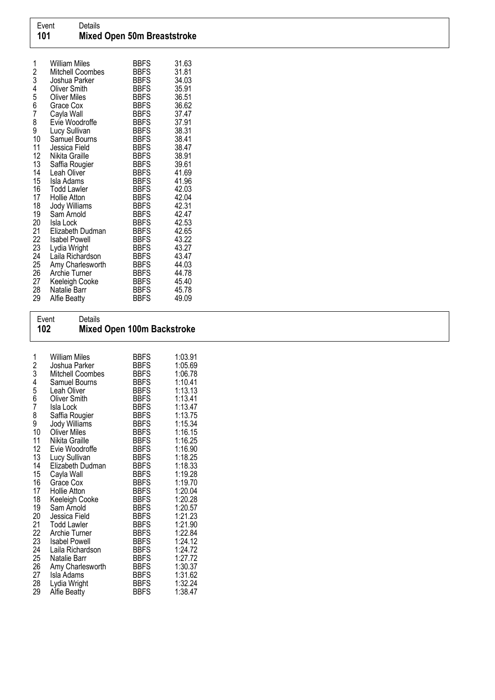| 1<br>2<br>3 | <b>William Miles</b><br>Mitchell Coombes<br>Joshua Parker | <b>BBFS</b><br><b>BBFS</b><br><b>BBFS</b> | 31.63<br>31.81<br>34.03 |
|-------------|-----------------------------------------------------------|-------------------------------------------|-------------------------|
| 4<br>5<br>6 | <b>Oliver Smith</b>                                       | <b>BBFS</b>                               | 35.91                   |
|             | <b>Oliver Miles</b>                                       | <b>BBFS</b>                               | 36.51                   |
| 7           | Grace Cox                                                 | <b>BBFS</b>                               | 36.62                   |
| 8           | Cayla Wall<br>Evie Woodroffe                              | <b>BBFS</b><br><b>BBFS</b>                | 37.47<br>37.91          |
| 9           | Lucy Sullivan                                             | <b>BBFS</b>                               | 38.31                   |
| 10          | Samuel Bourns                                             | <b>BBFS</b>                               | 38.41                   |
| 11          | Jessica Field                                             | <b>BBFS</b>                               | 38.47                   |
| 12          | Nikita Graille                                            | <b>BBFS</b>                               | 38.91                   |
| 13          | Saffia Rougier                                            | <b>BBFS</b>                               | 39.61                   |
| 14          | Leah Oliver                                               | BBFS                                      | 41.69                   |
| 15          | Isla Adams                                                | BBFS                                      | 41.96                   |
| 16          | <b>Todd Lawler</b>                                        | <b>BBFS</b>                               | 42.03                   |
| 17          | Hollie Atton                                              | <b>BBFS</b>                               | 42.04                   |
| 18          | Jody Williams                                             | <b>BBFS</b>                               | 42.31                   |
| 19          | Sam Arnold                                                | <b>BBFS</b>                               | 42.47                   |
| 20          | Isla Lock                                                 | <b>BBFS</b>                               | 42.53                   |
| 21<br>22    | Elizabeth Dudman                                          | <b>BBFS</b><br><b>BBFS</b>                | 42.65<br>43.22          |
| 23          | <b>Isabel Powell</b><br>Lydia Wright                      | <b>BBFS</b>                               | 43.27                   |
| 24          | Laila Richardson                                          | <b>BBFS</b>                               | 43.47                   |
| 25          | Amy Charlesworth                                          | <b>BBFS</b>                               | 44.03                   |
| 26          | Archie Turner                                             | <b>BBFS</b>                               | 44.78                   |
| 27          | Keeleigh Cooke                                            | <b>BBFS</b>                               | 45.40                   |
| 28          | Natalie Barr                                              | <b>BBFS</b>                               | 45.78                   |
| 29          | Alfie Beatty                                              | <b>BBFS</b>                               | 49.09                   |

Event Details

| 102                                                                                                                                        |                                                                                                                                                                                                                                                                                                                                                                                                                                                                                                          | <b>Mixed Open 100m Backstroke</b>                                                                                                                                                                                                                                                                                                                                                                                 |                                                                                                                                                                                                                                                                                                       |  |  |
|--------------------------------------------------------------------------------------------------------------------------------------------|----------------------------------------------------------------------------------------------------------------------------------------------------------------------------------------------------------------------------------------------------------------------------------------------------------------------------------------------------------------------------------------------------------------------------------------------------------------------------------------------------------|-------------------------------------------------------------------------------------------------------------------------------------------------------------------------------------------------------------------------------------------------------------------------------------------------------------------------------------------------------------------------------------------------------------------|-------------------------------------------------------------------------------------------------------------------------------------------------------------------------------------------------------------------------------------------------------------------------------------------------------|--|--|
| 1<br>2345678910<br>11<br>12<br>13<br>14<br>15<br>16<br>17<br>18<br>19<br>20<br>$\frac{21}{22}$<br>$\frac{23}{24}$<br>25<br>$\frac{26}{27}$ | <b>William Miles</b><br>Joshua Parker<br>Mitchell Coombes<br>Samuel Bourns<br>Leah Oliver<br><b>Oliver Smith</b><br>Isla Lock<br>Saffia Rougier<br>Jody Williams<br><b>Oliver Miles</b><br>Nikita Graille<br>Evie Woodroffe<br>Lucy Sullivan<br>Elizabeth Dudman<br>Cayla Wall<br>Grace Cox<br><b>Hollie Atton</b><br>Keeleigh Cooke<br>Sam Arnold<br>Jessica Field<br><b>Todd Lawler</b><br>Archie Turner<br><b>Isabel Powell</b><br>Laila Richardson<br>Natalie Barr<br>Amy Charlesworth<br>Isla Adams | <b>BBFS</b><br><b>BBFS</b><br><b>BBFS</b><br><b>BBFS</b><br><b>BBFS</b><br><b>BBFS</b><br><b>BBFS</b><br><b>BBFS</b><br><b>BBFS</b><br><b>BBFS</b><br><b>BBFS</b><br><b>BBFS</b><br><b>BBFS</b><br><b>BBFS</b><br><b>BBFS</b><br><b>BBFS</b><br><b>BBFS</b><br><b>BBFS</b><br><b>BBFS</b><br><b>BBFS</b><br><b>BBFS</b><br><b>BBFS</b><br><b>BBFS</b><br><b>BBFS</b><br><b>BBFS</b><br><b>BBFS</b><br><b>BBFS</b> | 1:03.91<br>1:05.69<br>1:06.78<br>1:10.41<br>1:13.13<br>1:13.41<br>1:13.47<br>1:13.75<br>1:15.34<br>1:16.15<br>1:16.25<br>1:16.90<br>1:18.25<br>1:18.33<br>1:19.28<br>1:19.70<br>1:20.04<br>1:20.28<br>1:20.57<br>1:21.23<br>1:21.90<br>1:22.84<br>1:24.12<br>1:24.72<br>1:27.72<br>1:30.37<br>1:31.62 |  |  |
| 28<br>29                                                                                                                                   | Lydia Wright<br>Alfie Beatty                                                                                                                                                                                                                                                                                                                                                                                                                                                                             | <b>BBFS</b><br>BBFS                                                                                                                                                                                                                                                                                                                                                                                               | 1:32.24<br>1:38.47                                                                                                                                                                                                                                                                                    |  |  |